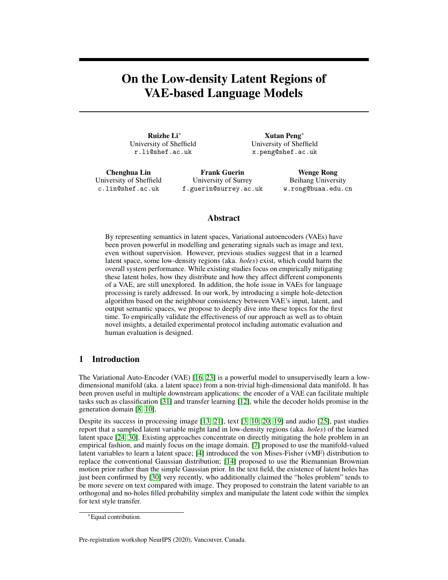# On the Low-density Latent Regions of VAE-based Language Models

Ruizhe Li<sup>∗</sup> University of Sheffield r.li@shef.ac.uk

Xutan Peng<sup>∗</sup> University of Sheffield x.peng@shef.ac.uk

Chenghua Lin University of Sheffield c.lin@shef.ac.uk

Frank Guerin University of Surrey f.guerin@surrey.ac.uk

Wenge Rong Beihang University w.rong@buaa.edu.cn

## Abstract

By representing semantics in latent spaces, Variational autoencoders (VAEs) have been proven powerful in modelling and generating signals such as image and text, even without supervision. However, previous studies suggest that in a learned latent space, some low-density regions (aka. *holes*) exist, which could harm the overall system performance. While existing studies focus on empirically mitigating these latent holes, how they distribute and how they affect different components of a VAE, are still unexplored. In addition, the hole issue in VAEs for language processing is rarely addressed. In our work, by introducing a simple hole-detection algorithm based on the neighbour consistency between VAE's input, latent, and output semantic spaces, we propose to deeply dive into these topics for the first time. To empirically validate the effectiveness of our approach as well as to obtain novel insights, a detailed experimental protocol including automatic evaluation and human evaluation is designed.

## 1 Introduction

The Variational Auto-Encoder (VAE) [\[16,](#page-5-0) [23\]](#page-6-0) is a powerful model to unsupervisedly learn a lowdimensional manifold (aka. a latent space) from a non-trivial high-dimensional data manifold. It has been proven useful in multiple downstream applications: the encoder of a VAE can facilitate multiple tasks such as classification [\[31\]](#page-6-1) and transfer learning [\[12\]](#page-5-1), while the decoder holds promise in the generation domain [\[8,](#page-5-2) [10\]](#page-5-3).

Despite its success in processing image [\[13,](#page-5-4) [21\]](#page-5-5), text [\[3,](#page-4-0) [10,](#page-5-3) [20,](#page-5-6) [19\]](#page-5-7) and audio [\[25\]](#page-6-2), past studies report that a sampled latent variable might land in low-density regions (aka. *holes*) of the learned latent space [\[24,](#page-6-3) [30\]](#page-6-4). Existing approaches concentrate on directly mitigating the hole problem in an empirical fashion, and mainly focus on the image domain. [\[7\]](#page-5-8) proposed to use the manifold-valued latent variables to learn a latent space; [\[4\]](#page-4-1) introduced the von Mises-Fisher (vMF) distribution to replace the conventional Gaussian distribution; [\[14\]](#page-5-9) proposed to use the Riemannian Brownian motion prior rather than the simple Gaussian prior. In the text field, the existence of latent holes has just been confirmed by [\[30\]](#page-6-4) very recently, who additionally claimed the "holes problem" tends to be more severe on text compared with image. They proposed to constrain the latent variable to an orthogonal and no-holes filled probability simplex and manipulate the latent code within the simplex for text style transfer.

Pre-registration workshop NeurIPS (2020), Vancouver, Canada.

<sup>∗</sup>Equal contribution.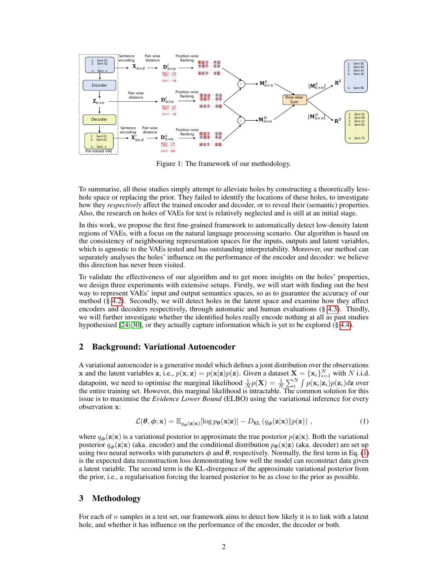<span id="page-1-1"></span>

Figure 1: The framework of our methodology.

To summarise, all these studies simply attempt to alleviate holes by constructing a theoretically lesshole space or replacing the prior. They failed to identify the locations of these holes, to investigate how they *respectively* affect the trained encoder and decoder, or to reveal their (semantic) properties. Also, the research on holes of VAEs for text is relatively neglected and is still at an initial stage.

In this work, we propose the first fine-grained framework to automatically detect low-density latent regions of VAEs, with a focus on the natural language processing scenario. Our algorithm is based on the consistency of neighbouring representation spaces for the inputs, outputs and latent variables, which is agnostic to the VAEs tested and has outstanding interpretability. Moreover, our method can separately analyses the holes' influence on the performance of the encoder and decoder: we believe this direction has never been visited.

To validate the effectiveness of our algorithm and to get more insights on the holes' properties, we design three experiments with extensive setups. Firstly, we will start with finding out the best way to represent VAEs' input and output semantics spaces, so as to guarantee the accuracy of our method (§ [4.2\)](#page-3-0). Secondly, we will detect holes in the latent space and examine how they affect encoders and decoders respectively, through automatic and human evaluations (§ [4.3\)](#page-3-1). Thirdly, we will further investigate whether the identified holes really encode nothing at all as past studies hypothesised [\[24,](#page-6-3) [30\]](#page-6-4), or they actually capture information which is yet to be explored (§ [4.4\)](#page-4-2).

## 2 Background: Variational Autoencoder

A variational autoencoder is a generative model which defines a joint distribution over the observations **x** and the latent variables **z**, i.e.,  $p(\mathbf{x}, \mathbf{z}) = p(\mathbf{x}|\mathbf{z})p(\mathbf{z})$ . Given a dataset  $\mathbf{X} = {\mathbf{x}_i}_{i=1}^N$  with N i.i.d. datapoint, we need to optimise the marginal likelihood  $\frac{1}{N}p(\mathbf{X}) = \frac{1}{N}\sum_{i=1}^{N} \int p(\mathbf{x}_i|\mathbf{z}_i)p(\mathbf{z}_i) d\mathbf{z}$  over the entire training set. However, this marginal likelihood is intractable. The common solution for this issue is to maximise the *Evidence Lower Bound* (ELBO) using the variational inference for every observation x:

<span id="page-1-0"></span>
$$
\mathcal{L}(\theta, \phi; \mathbf{x}) = \mathbb{E}_{q_{\phi}(\mathbf{z}|\mathbf{x})}[\log p_{\theta}(\mathbf{x}|\mathbf{z})] - D_{\text{KL}}(q_{\phi}(\mathbf{z}|\mathbf{x}) \| p(\mathbf{z})) ,
$$
\n(1)

where  $q_{\phi}(\mathbf{z}|\mathbf{x})$  is a variational posterior to approximate the true posterior  $p(\mathbf{z}|\mathbf{x})$ . Both the variational posterior  $q_{\phi}(\mathbf{z}|\mathbf{x})$  (aka. encoder) and the conditional distribution  $p_{\theta}(\mathbf{x}|\mathbf{z})$  (aka. decoder) are set up using two neural networks with parameters  $\phi$  and  $\theta$ , respectively. Normally, the first term in Eq. [\(1\)](#page-1-0) is the expected data reconstruction loss demonstrating how well the model can reconstruct data given a latent variable. The second term is the KL-divergence of the approximate variational posterior from the prior, i.e., a regularisation forcing the learned posterior to be as close to the prior as possible.

## <span id="page-1-2"></span>3 Methodology

For each of  $n$  samples in a test set, our framework aims to detect how likely it is to link with a latent hole, and whether it has influence on the performance of the encoder, the decoder or both.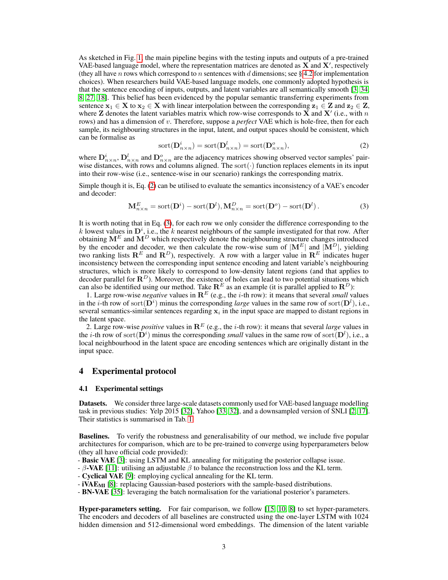As sketched in Fig. [1,](#page-1-1) the main pipeline begins with the testing inputs and outputs of a pre-trained VAE-based language model, where the representation matrices are denoted as  $\overline{X}$  and  $\overline{X}'$ , respectively (they all have n rows which correspond to n sentences with d dimensions; see § [4.2](#page-3-0) for implementation choices). When researchers build VAE-based language models, one commonly adopted hypothesis is that the sentence encoding of inputs, outputs, and latent variables are all semantically smooth [\[3,](#page-4-0) [34,](#page-6-5) [8,](#page-5-2) [27,](#page-6-6) [18\]](#page-5-10). This belief has been evidenced by the popular semantic transferring experiments from sentence  $x_1 \in X$  to  $x_2 \in X$  with linear interpolation between the corresponding  $z_1 \in Z$  and  $z_2 \in Z$ , where **Z** denotes the latent variables matrix which row-wise corresponds to  $\bar{\mathbf{X}}$  and  $\mathbf{X}'$  (i.e., with n rows) and has a dimension of v. Therefore, suppose a *perfect* VAE which is hole-free, then for each sample, its neighbouring structures in the input, latent, and output spaces should be consistent, which can be formalise as

<span id="page-2-0"></span>
$$
sort(Dn×ni) = sort(Dn×nl) = sort(Dn×no),
$$
\n(2)

where  $\mathbf{D}_{n\times n}^i$ ,  $\mathbf{D}_{n\times n}^l$  and  $\mathbf{D}_{n\times n}^o$  are the adjacency matrices showing observed vector samples' pairwise distances, with rows and columns aligned. The sort( $\cdot$ ) function replaces elements in its input into their row-wise (i.e., sentence-wise in our scenario) rankings the corresponding matrix.

Simple though it is, Eq. [\(2\)](#page-2-0) can be utilised to evaluate the semantics inconsistency of a VAE's encoder and decoder:

<span id="page-2-1"></span>
$$
\mathbf{M}_{n\times n}^{E} = \text{sort}(\mathbf{D}^{i}) - \text{sort}(\mathbf{D}^{l}), \mathbf{M}_{n\times n}^{D} = \text{sort}(\mathbf{D}^{o}) - \text{sort}(\mathbf{D}^{l}).
$$
\n(3)

It is worth noting that in Eq. [\(3\)](#page-2-1), for each row we only consider the difference corresponding to the k lowest values in  $\mathbf{D}^i$ , i.e., the k nearest neighbours of the sample investigated for that row. After obtaining  $M^E$  and  $M^D$  which respectively denote the neighbouring structure changes introduced by the encoder and decoder, we then calculate the row-wise sum of  $|\mathbf{M}^E|$  and  $|\mathbf{M}^D|$ , yielding two ranking lists  $\mathbf{R}^E$  and  $\mathbf{R}^D$ ), respectively. A row with a larger value in  $\mathbf{R}^E$  indicates huger inconsistency between the corresponding input sentence encoding and latent variable's neighbouring structures, which is more likely to correspond to low-density latent regions (and that applies to decoder parallel for  $\mathbf{R}^D$ ). Moreover, the existence of holes can lead to two potential situations which can also be identified using our method. Take  $\mathbb{R}^E$  as an example (it is parallel applied to  $\mathbb{R}^D$ ):

1. Large row-wise *negative* values in  $\mathbb{R}^E$  (e.g., the *i*-th row): it means that several *small* values in the *i*-th row of sort( $D<sup>i</sup>$ ) minus the corresponding *large* values in the same row of sort( $D<sup>i</sup>$ ), i.e., several semantics-similar sentences regarding  $x_i$  in the input space are mapped to distant regions in the latent space.

2. Large row-wise *positive* values in  $\mathbb{R}^E$  (e.g., the *i*-th row): it means that several *large* values in the *i*-th row of sort( $\hat{D}^i$ ) minus the corresponding *small* values in the same row of sort( $D^l$ ), i.e., a local neighbourhood in the latent space are encoding sentences which are originally distant in the input space.

## 4 Experimental protocol

### 4.1 Experimental settings

Datasets. We consider three large-scale datasets commonly used for VAE-based language modelling task in previous studies: Yelp 2015 [\[32\]](#page-6-7), Yahoo [\[33,](#page-6-8) [32\]](#page-6-7), and a downsampled version of SNLI [\[2,](#page-4-3) [17\]](#page-5-11). Their statistics is summarised in Tab. [1.](#page-3-2)

Baselines. To verify the robustness and generalisability of our method, we include five popular architectures for comparison, which are to be pre-trained to converge using hyperparameters below (they all have official code provided):

- Basic VAE [\[3\]](#page-4-0): using LSTM and KL annealing for mitigating the posterior collapse issue.

- β-VAE [\[11\]](#page-5-12): utilising an adjustable β to balance the reconstruction loss and the KL term.

- Cyclical VAE [\[9\]](#page-5-13): employing cyclical annealing for the KL term.

 $\sim$  iVAE<sub>MI</sub> [\[8\]](#page-5-2): replacing Gaussian-based posteriors with the sample-based distributions.

- BN-VAE [\[35\]](#page-6-9): leveraging the batch normalisation for the variational posterior's parameters.

Hyper-parameters setting. For fair comparison, we follow [\[15,](#page-5-14) [10,](#page-5-3) [8\]](#page-5-2) to set hyper-parameters. The encoders and decoders of all baselines are constructed using the one-layer LSTM with 1024 hidden dimension and 512-dimensional word embeddings. The dimension of the latent variable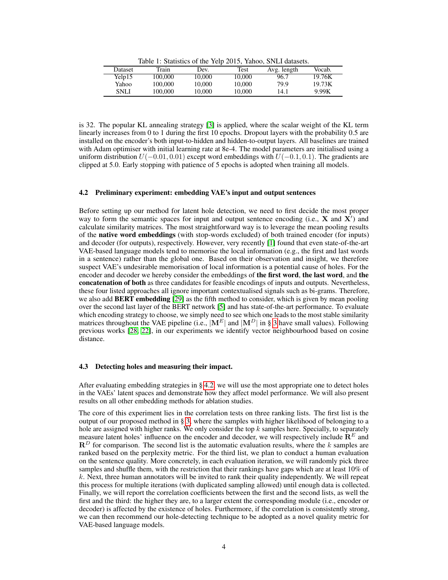Table 1: Statistics of the Yelp 2015, Yahoo, SNLI datasets.

<span id="page-3-2"></span>

| Dataset | Train   | Dev.   | Test   | Avg. length | Vocab. |
|---------|---------|--------|--------|-------------|--------|
| Yelp15  | 100,000 | 10.000 | 10.000 | 96.7        | 19.76K |
| Yahoo   | 100.000 | 10.000 | 10.000 | 79.9        | 19.73K |
| SNLI    | 100.000 | 10.000 | 10.000 | 14.1        | 9.99K  |

is 32. The popular KL annealing strategy [\[3\]](#page-4-0) is applied, where the scalar weight of the KL term linearly increases from 0 to 1 during the first 10 epochs. Dropout layers with the probability 0.5 are installed on the encoder's both input-to-hidden and hidden-to-output layers. All baselines are trained with Adam optimiser with initial learning rate at 8e-4. The model parameters are initialised using a uniform distribution  $U(-0.01, 0.01)$  except word embeddings with  $U(-0.1, 0.1)$ . The gradients are clipped at 5.0. Early stopping with patience of 5 epochs is adopted when training all models.

## <span id="page-3-0"></span>4.2 Preliminary experiment: embedding VAE's input and output sentences

Before setting up our method for latent hole detection, we need to first decide the most proper way to form the semantic spaces for input and output sentence encoding (i.e.,  $X$  and  $X'$ ) and calculate similarity matrices. The most straightforward way is to leverage the mean pooling results of the native word embeddings (with stop-words excluded) of both trained encoder (for inputs) and decoder (for outputs), respectively. However, very recently [\[1\]](#page-4-4) found that even state-of-the-art VAE-based language models tend to memorise the local information (e.g., the first and last words in a sentence) rather than the global one. Based on their observation and insight, we therefore suspect VAE's undesirable memorisation of local information is a potential cause of holes. For the encoder and decoder we hereby consider the embeddings of the first word, the last word, and the concatenation of both as three candidates for feasible encodings of inputs and outputs. Nevertheless, these four listed approaches all ignore important contextualised signals such as bi-grams. Therefore, we also add **BERT** embedding [\[29\]](#page-6-10) as the fifth method to consider, which is given by mean pooling over the second last layer of the BERT network [\[5\]](#page-4-5) and has state-of-the-art performance. To evaluate which encoding strategy to choose, we simply need to see which one leads to the most stable similarity matrices throughout the VAE pipeline (i.e.,  $|M^E|$  and  $|M^D|$  in § [3](#page-1-2) have small values). Following previous works [\[28,](#page-6-11) [22\]](#page-6-12), in our experiments we identify vector neighbourhood based on cosine distance.

#### <span id="page-3-1"></span>4.3 Detecting holes and measuring their impact.

After evaluating embedding strategies in § [4.2,](#page-3-0) we will use the most appropriate one to detect holes in the VAEs' latent spaces and demonstrate how they affect model performance. We will also present results on all other embedding methods for ablation studies.

The core of this experiment lies in the correlation tests on three ranking lists. The first list is the output of our proposed method in § [3,](#page-1-2) where the samples with higher likelihood of belonging to a hole are assigned with higher ranks. We only consider the top  $k$  samples here. Specially, to separately measure latent holes' influence on the encoder and decoder, we will respectively include  $\mathbb{R}^E$  and  $\mathbf{R}^D$  for comparison. The second list is the automatic evaluation results, where the k samples are ranked based on the perplexity metric. For the third list, we plan to conduct a human evaluation on the sentence quality. More concretely, in each evaluation iteration, we will randomly pick three samples and shuffle them, with the restriction that their rankings have gaps which are at least 10% of  $k$ . Next, three human annotators will be invited to rank their quality independently. We will repeat this process for multiple iterations (with duplicated sampling allowed) until enough data is collected. Finally, we will report the correlation coefficients between the first and the second lists, as well the first and the third: the higher they are, to a larger extent the corresponding module (i.e., encoder or decoder) is affected by the existence of holes. Furthermore, if the correlation is consistently strong, we can then recommend our hole-detecting technique to be adopted as a novel quality metric for VAE-based language models.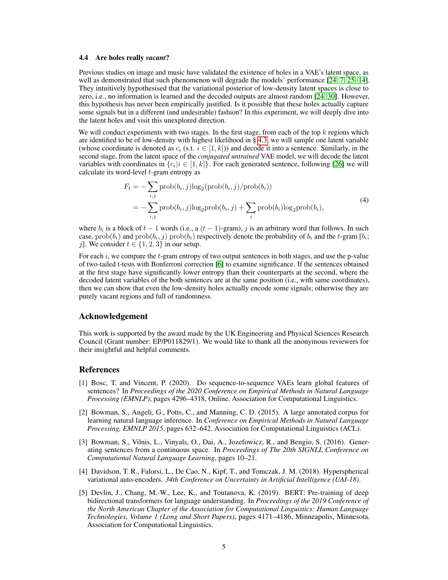#### <span id="page-4-2"></span>4.4 Are holes really *vacant*?

Previous studies on image and music have validated the existence of holes in a VAE's latent space, as well as demonstrated that such phenomenon will degrade the models' performance [\[24,](#page-6-3) [7,](#page-5-8) [25,](#page-6-2) [14\]](#page-5-9). They intuitively hypothesised that the variational posterior of low-density latent spaces is close to zero, i.e., no information is learned and the decoded outputs are almost random [\[24,](#page-6-3) [30\]](#page-6-4). However, this hypothesis has never been empirically justified. Is it possible that these holes actually capture some signals but in a different (and undesirable) fashion? In this experiment, we will deeply dive into the latent holes and visit this unexplored direction.

We will conduct experiments with two stages. In the first stage, from each of the top  $k$  regions which are identified to be of low-density with highest likelihood in  $\S$  [4.3,](#page-3-1) we will sample one latent variable (whose coordinate is denoted as  $c_i$  (s.t.  $i \in [1, k]$ )) and decode it into a sentence. Similarly, in the second stage, from the latent space of the *conjugated untrained* VAE model, we will decode the latent variables with coordinates in  $\{c_i | i \in [1, k]\}$ . For each generated sentence, following [\[26\]](#page-6-13) we will calculate its word-level  $t$ -gram entropy as

$$
F_t = -\sum_{i,j} \text{prob}(b_i, j) \log_2(\text{prob}(b_i, j) / \text{prob}(b_i))
$$
  
= 
$$
-\sum_{i,j} \text{prob}(b_i, j) \log_2 \text{prob}(b_i, j) + \sum_i \text{prob}(b_i) \log_2 \text{prob}(b_i),
$$
 (4)

where  $b_i$  is a block of  $t - 1$  words (i.e., a  $(t - 1)$ -gram), j is an arbitrary word that follows. In such case,  $\text{prob}(b_i)$  and  $\text{prob}(b_i, j)$   $\text{prob}(b_i)$  respectively denote the probability of  $b_i$  and the t-gram  $[b_i;$ j]. We consider  $t \in \{1, 2, 3\}$  in our setup.

For each i, we compare the t-gram entropy of two output sentences in both stages, and use the p-value of two-tailed t-tests with Bonferroni correction [\[6\]](#page-5-15) to examine significance. If the sentences obtained at the first stage have significantly lower entropy than their counterparts at the second, where the decoded latent variables of the both sentences are at the same position (i.e., with same coordinates), then we can show that even the low-density holes actually encode some signals; otherwise they are purely vacant regions and full of randomness.

#### Acknowledgement

This work is supported by the award made by the UK Engineering and Physical Sciences Research Council (Grant number: EP/P011829/1). We would like to thank all the anonymous reviewers for their insightful and helpful comments.

### References

- <span id="page-4-4"></span>[1] Bosc, T. and Vincent, P. (2020). Do sequence-to-sequence VAEs learn global features of sentences? In *Proceedings of the 2020 Conference on Empirical Methods in Natural Language Processing (EMNLP)*, pages 4296–4318, Online. Association for Computational Linguistics.
- <span id="page-4-3"></span>[2] Bowman, S., Angeli, G., Potts, C., and Manning, C. D. (2015). A large annotated corpus for learning natural language inference. In *Conference on Empirical Methods in Natural Language Processing, EMNLP 2015*, pages 632–642. Association for Computational Linguistics (ACL).
- <span id="page-4-0"></span>[3] Bowman, S., Vilnis, L., Vinyals, O., Dai, A., Jozefowicz, R., and Bengio, S. (2016). Generating sentences from a continuous space. In *Proceedings of The 20th SIGNLL Conference on Computational Natural Language Learning*, pages 10–21.
- <span id="page-4-1"></span>[4] Davidson, T. R., Falorsi, L., De Cao, N., Kipf, T., and Tomczak, J. M. (2018). Hyperspherical variational auto-encoders. *34th Conference on Uncertainty in Artificial Intelligence (UAI-18)*.
- <span id="page-4-5"></span>[5] Devlin, J., Chang, M.-W., Lee, K., and Toutanova, K. (2019). BERT: Pre-training of deep bidirectional transformers for language understanding. In *Proceedings of the 2019 Conference of the North American Chapter of the Association for Computational Linguistics: Human Language Technologies, Volume 1 (Long and Short Papers)*, pages 4171–4186, Minneapolis, Minnesota. Association for Computational Linguistics.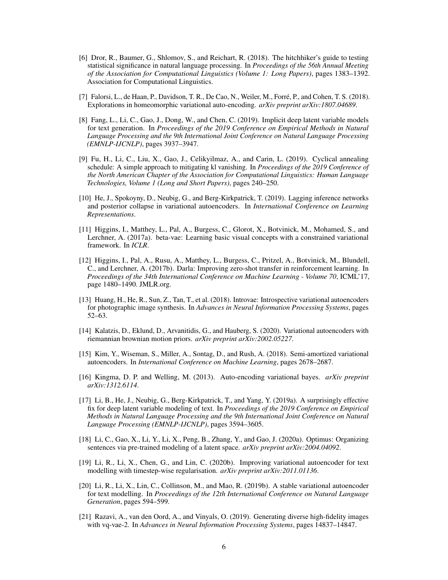- <span id="page-5-15"></span>[6] Dror, R., Baumer, G., Shlomov, S., and Reichart, R. (2018). The hitchhiker's guide to testing statistical significance in natural language processing. In *Proceedings of the 56th Annual Meeting of the Association for Computational Linguistics (Volume 1: Long Papers)*, pages 1383–1392. Association for Computational Linguistics.
- <span id="page-5-8"></span>[7] Falorsi, L., de Haan, P., Davidson, T. R., De Cao, N., Weiler, M., Forré, P., and Cohen, T. S. (2018). Explorations in homeomorphic variational auto-encoding. *arXiv preprint arXiv:1807.04689*.
- <span id="page-5-2"></span>[8] Fang, L., Li, C., Gao, J., Dong, W., and Chen, C. (2019). Implicit deep latent variable models for text generation. In *Proceedings of the 2019 Conference on Empirical Methods in Natural Language Processing and the 9th International Joint Conference on Natural Language Processing (EMNLP-IJCNLP)*, pages 3937–3947.
- <span id="page-5-13"></span>[9] Fu, H., Li, C., Liu, X., Gao, J., Celikyilmaz, A., and Carin, L. (2019). Cyclical annealing schedule: A simple approach to mitigating kl vanishing. In *Proceedings of the 2019 Conference of the North American Chapter of the Association for Computational Linguistics: Human Language Technologies, Volume 1 (Long and Short Papers)*, pages 240–250.
- <span id="page-5-3"></span>[10] He, J., Spokoyny, D., Neubig, G., and Berg-Kirkpatrick, T. (2019). Lagging inference networks and posterior collapse in variational autoencoders. In *International Conference on Learning Representations*.
- <span id="page-5-12"></span>[11] Higgins, I., Matthey, L., Pal, A., Burgess, C., Glorot, X., Botvinick, M., Mohamed, S., and Lerchner, A. (2017a). beta-vae: Learning basic visual concepts with a constrained variational framework. In *ICLR*.
- <span id="page-5-1"></span>[12] Higgins, I., Pal, A., Rusu, A., Matthey, L., Burgess, C., Pritzel, A., Botvinick, M., Blundell, C., and Lerchner, A. (2017b). Darla: Improving zero-shot transfer in reinforcement learning. In *Proceedings of the 34th International Conference on Machine Learning - Volume 70*, ICML'17, page 1480–1490. JMLR.org.
- <span id="page-5-4"></span>[13] Huang, H., He, R., Sun, Z., Tan, T., et al. (2018). Introvae: Introspective variational autoencoders for photographic image synthesis. In *Advances in Neural Information Processing Systems*, pages 52–63.
- <span id="page-5-9"></span>[14] Kalatzis, D., Eklund, D., Arvanitidis, G., and Hauberg, S. (2020). Variational autoencoders with riemannian brownian motion priors. *arXiv preprint arXiv:2002.05227*.
- <span id="page-5-14"></span>[15] Kim, Y., Wiseman, S., Miller, A., Sontag, D., and Rush, A. (2018). Semi-amortized variational autoencoders. In *International Conference on Machine Learning*, pages 2678–2687.
- <span id="page-5-0"></span>[16] Kingma, D. P. and Welling, M. (2013). Auto-encoding variational bayes. *arXiv preprint arXiv:1312.6114*.
- <span id="page-5-11"></span>[17] Li, B., He, J., Neubig, G., Berg-Kirkpatrick, T., and Yang, Y. (2019a). A surprisingly effective fix for deep latent variable modeling of text. In *Proceedings of the 2019 Conference on Empirical Methods in Natural Language Processing and the 9th International Joint Conference on Natural Language Processing (EMNLP-IJCNLP)*, pages 3594–3605.
- <span id="page-5-10"></span>[18] Li, C., Gao, X., Li, Y., Li, X., Peng, B., Zhang, Y., and Gao, J. (2020a). Optimus: Organizing sentences via pre-trained modeling of a latent space. *arXiv preprint arXiv:2004.04092*.
- <span id="page-5-7"></span>[19] Li, R., Li, X., Chen, G., and Lin, C. (2020b). Improving variational autoencoder for text modelling with timestep-wise regularisation. *arXiv preprint arXiv:2011.01136*.
- <span id="page-5-6"></span>[20] Li, R., Li, X., Lin, C., Collinson, M., and Mao, R. (2019b). A stable variational autoencoder for text modelling. In *Proceedings of the 12th International Conference on Natural Language Generation*, pages 594–599.
- <span id="page-5-5"></span>[21] Razavi, A., van den Oord, A., and Vinyals, O. (2019). Generating diverse high-fidelity images with vq-vae-2. In *Advances in Neural Information Processing Systems*, pages 14837–14847.